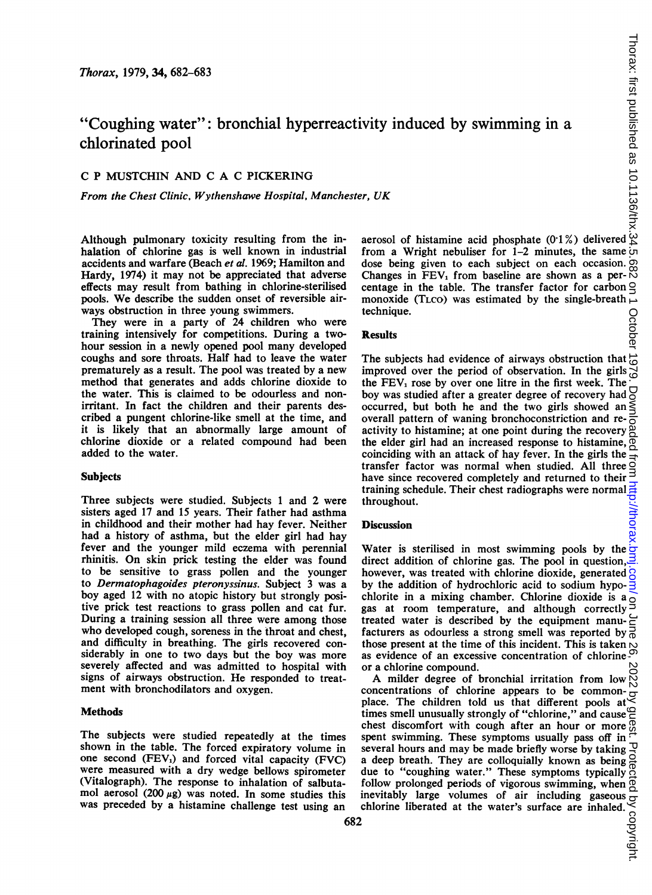# "Coughing water": bronchial hyperreactivity induced by swimming in a chlorinated pool

## C P MUSTCHIN AND C A C PICKERING

From the Chest Clinic. Wythenshawe Hospital, Manchester, UK

Although pulmonary toxicity resulting from the inhalation of chlorine gas is well known in industrial accidents and warfare (Beach et al. 1969; Hamilton and Hardy, 1974) it may not be appreciated that adverse effects may result from bathing in chlorine-sterilised pools. We describe the sudden onset of reversible airways obstruction in three young swimmers.

They were in a party of 24 children who were training intensively for competitions. During a twohour session in a newly opened pool many developed coughs and sore throats. Half had to leave the water prematurely as a result. The pool was treated by a new method that generates and adds chlorine dioxide to the water. This is claimed to be odourless and nonirritant. In fact the children and their parents described a pungent chlorine-like smell at the time, and it is likely that an abnormally large amount of chlorine dioxide or a related compound had been added to the water.

#### **Subjects**

Three subjects were studied. Subjects <sup>1</sup> and 2 were sisters aged 17 and 15 years. Their father had asthma in childhood and their mother had hay fever. Neither had a history of asthma, but the elder girl had hay fever and the younger mild eczema with perennial rhinitis. On skin prick testing the elder was found to be sensitive to grass pollen and the younger to Dermatophagoides pteronyssinus. Subject 3 was a boy aged 12 with no atopic history but strongly positive prick test reactions to grass pollen and cat fur. During a training session all three were among those who developed cough, soreness in the throat and chest, and difficulty in breathing. The girls recovered considerably in one to two days but the boy was more severely affected and was admitted to hospital with signs of airways obstruction. He responded to treatment with bronchodilators and oxygen.

#### **Methods**

The subjects were studied repeatedly at the times shown in the table. The forced expiratory volume in one second (FEV,) and forced vital capacity (FVC) were measured with a dry wedge bellows spirometer (Vitalograph). The response to inhalation of salbutamol aerosol (200  $\mu$ g) was noted. In some studies this was preceded by a histamine challenge test using an

aerosol of histamine acid phosphate (0'1 %) delivered from a Wright nebuliser for 1-2 minutes, the same dose being given to each subject on each occasion. Changes in FEV<sub>1</sub> from baseline are shown as a per- $\overset{\infty}{\wedge}$ centage in the table. The transfer factor for carbon  $Q$ monoxide (TLCO) was estimated by the single-breath  $\overline{\phantom{a}}$ technique.

#### Results

The subjects had evidence of airways obstruction that improved over the period of observation. In the girls the  $FEV<sub>1</sub>$  rose by over one litre in the first week. The boy was studied after a greater degree of recovery had occurred, but both he and the two girls showed an overall pattern of waning bronchoconstriction and reoverall pattern of waning bronchoconstriction and re- $\frac{5}{6}$  activity to histamine; at one point during the recovery  $\frac{8}{6}$ the elder girl had an increased response to histamine,  $\frac{\infty}{\infty}$  coinciding with an attack of hay fever. In the girls the coinciding with an attack of hay fever. In the girls the transfer factor was normal when studied. All three have since recovered completely and returned to their training schedule. Their chest radiographs were normal throughout.

#### Discussion

Water is sterilised in most swimming pools by the  $\frac{1}{x}$ direct addition of chlorine gas. The pool in question,  $\exists$ however, was treated with chlorine dioxide, generated  $\beta$ by the addition of hydrochloric acid to sodium hypochlorite in a mixing chamber. Chlorine dioxide is a emorie in a mixing channel. Chronic dioxide is a  $\sigma$  gas at room temperature, and although correctly treated water is described by the equipment manu- $\epsilon$ facturers as odourless a strong smell was reported by  $\frac{1}{0}$ those present at the time of this incident. This is taken as evidence of an excessive concentration of chlorine or a chlorine compound.

a chlorine compound.<br>A milder degree of bronchial irritation from low  $\bigotimes_{n=0}^{\infty}$ concentrations of chlorine appears to be commonplace. The children told us that different pools at times smell unusually strongly of "chlorine," and cause  $\varphi$ chest discomfort with cough after an hour or more spent swimming. These symptoms usually pass off in several hours and may be made briefly worse by taking  $\overline{\mathcal{L}}$ a deep breath. They are colloquially known as being due to "coughing water." These symptoms typically follow prolonged periods of vigorous swimming, when  $\overline{0}$ inevitably large volumes of air including gaseous chlorine liberated at the water's surface are inhaled.  $\frac{35}{32}$ <br>
2 chlorine liberated at the water's surface are inhaled.